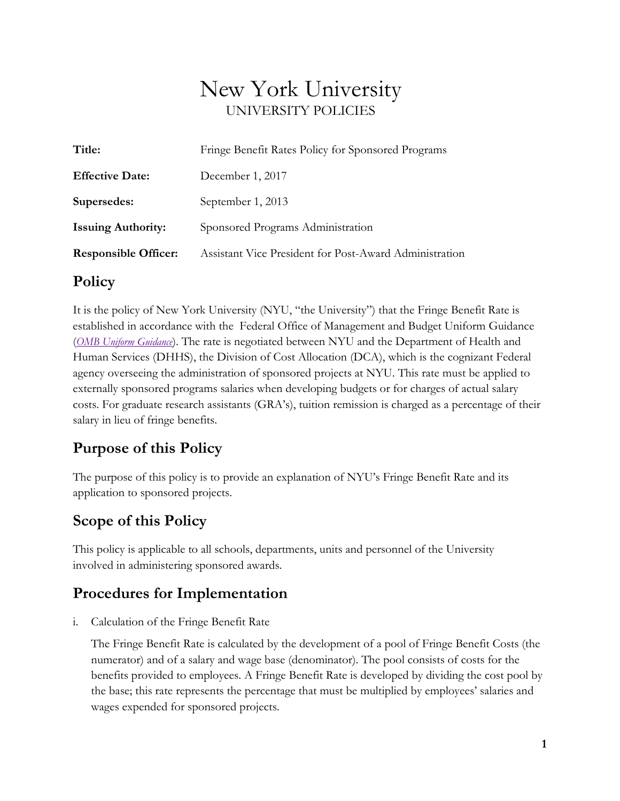# New York University UNIVERSITY POLICIES

| Title:                      | Fringe Benefit Rates Policy for Sponsored Programs     |
|-----------------------------|--------------------------------------------------------|
| <b>Effective Date:</b>      | December 1, 2017                                       |
| Supersedes:                 | September 1, 2013                                      |
| <b>Issuing Authority:</b>   | Sponsored Programs Administration                      |
| <b>Responsible Officer:</b> | Assistant Vice President for Post-Award Administration |
|                             |                                                        |

#### **Policy**

It is the policy of New York University (NYU, "the University") that the Fringe Benefit Rate is established in accordance with the Federal Office of Management and Budget Uniform Guidance (*[OMB Uniform Guidance](https://www.ecfr.gov/cgi-bin/text-idx?tpl=/ecfrbrowse/Title02/2cfr200_main_02.tpl)*). The rate is negotiated between NYU and the Department of Health and Human Services (DHHS), the Division of Cost Allocation (DCA), which is the cognizant Federal agency overseeing the administration of sponsored projects at NYU. This rate must be applied to externally sponsored programs salaries when developing budgets or for charges of actual salary costs. For graduate research assistants (GRA's), tuition remission is charged as a percentage of their salary in lieu of fringe benefits.

#### **Purpose of this Policy**

The purpose of this policy is to provide an explanation of NYU's Fringe Benefit Rate and its application to sponsored projects.

#### **Scope of this Policy**

This policy is applicable to all schools, departments, units and personnel of the University involved in administering sponsored awards.

#### **Procedures for Implementation**

i. Calculation of the Fringe Benefit Rate

The Fringe Benefit Rate is calculated by the development of a pool of Fringe Benefit Costs (the numerator) and of a salary and wage base (denominator). The pool consists of costs for the benefits provided to employees. A Fringe Benefit Rate is developed by dividing the cost pool by the base; this rate represents the percentage that must be multiplied by employees' salaries and wages expended for sponsored projects.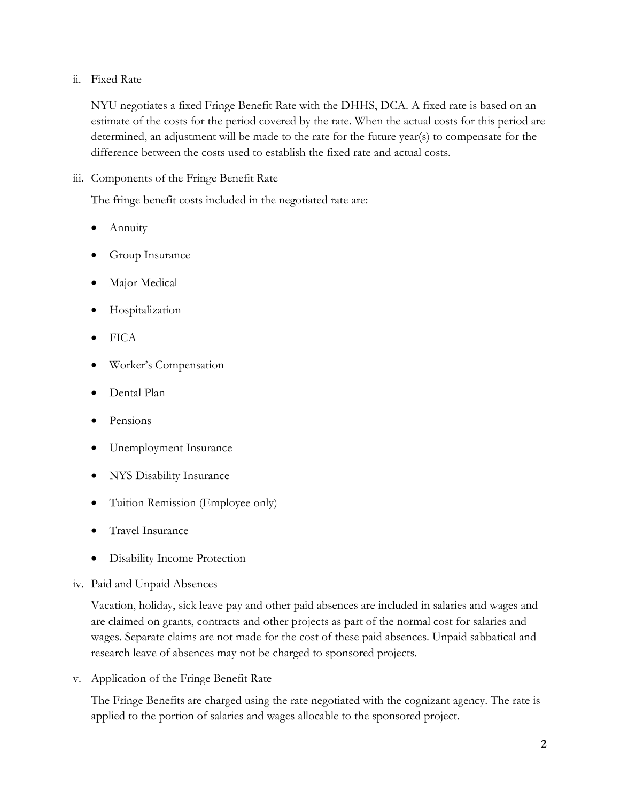#### ii. Fixed Rate

NYU negotiates a fixed Fringe Benefit Rate with the DHHS, DCA. A fixed rate is based on an estimate of the costs for the period covered by the rate. When the actual costs for this period are determined, an adjustment will be made to the rate for the future year(s) to compensate for the difference between the costs used to establish the fixed rate and actual costs.

iii. Components of the Fringe Benefit Rate

The fringe benefit costs included in the negotiated rate are:

- Annuity
- Group Insurance
- Major Medical
- Hospitalization
- FICA
- Worker's Compensation
- Dental Plan
- Pensions
- Unemployment Insurance
- NYS Disability Insurance
- Tuition Remission (Employee only)
- Travel Insurance
- Disability Income Protection
- iv. Paid and Unpaid Absences

Vacation, holiday, sick leave pay and other paid absences are included in salaries and wages and are claimed on grants, contracts and other projects as part of the normal cost for salaries and wages. Separate claims are not made for the cost of these paid absences. Unpaid sabbatical and research leave of absences may not be charged to sponsored projects.

v. Application of the Fringe Benefit Rate

The Fringe Benefits are charged using the rate negotiated with the cognizant agency. The rate is applied to the portion of salaries and wages allocable to the sponsored project.